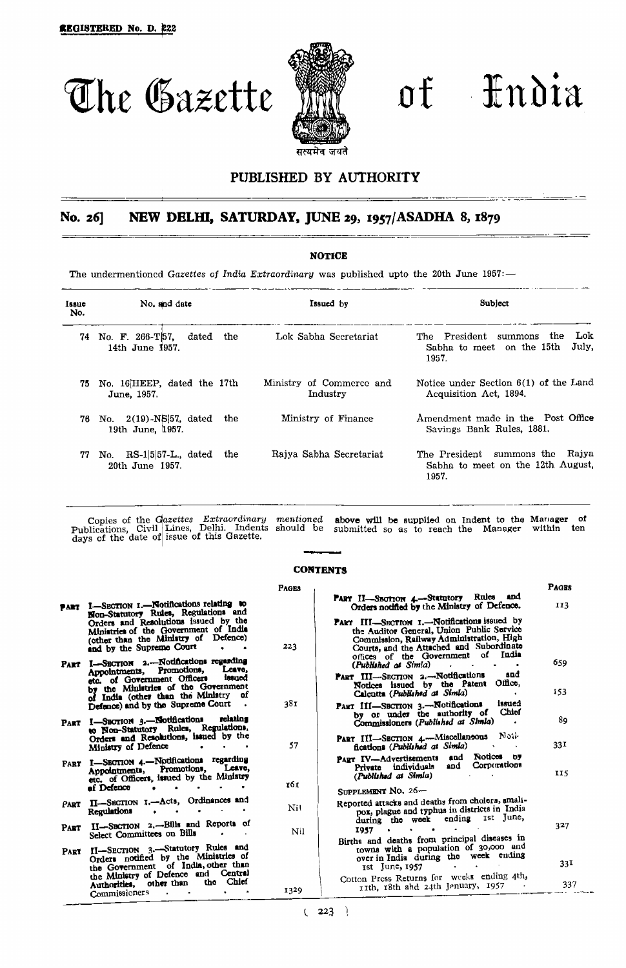

The Gazette mill of Hndia

# PUBLISHED BY AUTHORITY

# No. *26]* **NEW DELHI, SATURDAY,** JUNE 29, 1957/ASADHA 8, 1879

# **NOTICE**

**The undermentioned** *Gazettes of India Extraordinary* **was published upto the 20th June 1957: —**

| Issue<br>No. | No. and date                                           | Issued by                            | Subject                                                                                |  |
|--------------|--------------------------------------------------------|--------------------------------------|----------------------------------------------------------------------------------------|--|
| 74.          | dated<br>No. F. 266-T57.<br>the<br>14th June 1957.     | Lok Sabha Secretariat                | Lok<br>The President<br>the.<br>summons<br>July.<br>Sabha to meet on the 15th<br>1957. |  |
| 75.          | No. 16 HEEP, dated the 17th<br>June, 1957.             | Ministry of Commerce and<br>Industry | Notice under Section $6(1)$ of the Land<br>Acquisition Act, 1894.                      |  |
| 76.          | No. 2(19)-NS[57, dated<br>the<br>19th June, 1957.      | Ministry of Finance                  | Amendment made in the Post Office<br>Savings Bank Rules, 1881.                         |  |
| 77           | $RS-1 5 57-L$ , dated<br>the<br>No.<br>20th June 1957. | Raiya Sabha Secretariat              | Rajya<br>The President summons the<br>Sabha to meet on the 12th August,<br>1957.       |  |

**Copies of the Gazettes Extraordinary mentioned above will be supplied on Indent to the Manager of Publications, Civil Lines, Delhi. Indents should be submitted so as to reach the Manager within ten days of the date of issue of this Gazette.**

# **CONTENTS**

|             |                                                                                                                                                                | <b>PAGES</b> |                                                                                                                                                                                                                           | <b>PAGES</b> |
|-------------|----------------------------------------------------------------------------------------------------------------------------------------------------------------|--------------|---------------------------------------------------------------------------------------------------------------------------------------------------------------------------------------------------------------------------|--------------|
|             | PART I-SECTION 1.-Notifications relating to<br>Non-Statutory Rules, Regulations and                                                                            |              | PART II-SECTION 4 .- Statutory Rules and<br>Orders notified by the Ministry of Defence.                                                                                                                                   | 113          |
|             | Orders and Resolutions issued by the<br>Ministries of the Government of India<br>(other than the Ministry of Defence)<br>and by the Supreme Court<br>$\bullet$ | 223          | PART III-SECTION I.-Notifications issued by<br>the Auditor General, Union Public Service<br>Commission, Railway Administration, High<br>Courts, and the Attached and Subordinate<br>offices of the Government of<br>India |              |
| PART        | I-SECTION 2.--Notifications regarding<br>Leave,<br>Appointments, Promotions,                                                                                   |              | (Published at Simla)<br>$\sim$ 100 $\sim$                                                                                                                                                                                 | 659          |
|             | issued<br>etc. of Government Officers<br>by the Ministries of the Government<br>of India (other than the Ministry of                                           |              | and<br>PART III-SECTION 2.-Notifications<br>Office.<br>Notices issued by the Patent<br>Calcutta (Published at Simia)                                                                                                      | 153          |
|             | Defence) and by the Supreme Court                                                                                                                              | 38 T         | issued<br>PART III-SECTION 3.-Notifications<br>Chief                                                                                                                                                                      |              |
|             | PART I-SECTION 3.-Notifications relating<br>to Non-Statutory Rules, Regulations,                                                                               |              | by or under the authority of<br>Commissioners (Published at Simila)                                                                                                                                                       | 89           |
|             | Orders and Resolutions, issued by the<br>Ministry of Defence<br>$\bullet$                                                                                      | 57           | Nail-<br>PART III-SECTION 4-Miscellaneous<br>fications (Published at Simila)                                                                                                                                              | 331          |
|             | PART I-SECTION 4.-Notifications regarding<br>Appointments, Promotions, Leave,<br>etc. of Officers, issued by the Ministry                                      |              | Notices by<br>PART IV-Advertisements and<br>Corporations<br>and<br>Private individuals<br>(Published at Simia)                                                                                                            | <b>II5</b>   |
|             | of Defence<br>$\bullet$                                                                                                                                        | 161.         | SUPPLEMENT NO. 26-                                                                                                                                                                                                        |              |
| Part        | II-SECTION I.-Acts, Ordinances and<br><b>Regulations</b>                                                                                                       | Nil          | Reported attacks and deaths from cholera, small-<br>pox, plague and typhus in districts in India<br>during the week ending ist June,                                                                                      |              |
| <b>PART</b> | II-SECTION 2.-Bills and Reports of<br>Select Committees on Bills                                                                                               | NII          | <b>Contract Contract</b><br>1957                                                                                                                                                                                          | 327          |
|             |                                                                                                                                                                |              | Births and deaths from principal diseases in<br>towns with a population of 30,000 and                                                                                                                                     |              |
| PART        | II-SECTION 3.-Statutory Rules and<br>Orders notified by the Ministries of<br>the Government of India, other than                                               |              | over in India during the week ending<br>1st June, 1957<br>the control of the control of the                                                                                                                               | 331          |
|             | the Ministry of Defence and Central<br>the Chief<br>other than<br>Authorities,                                                                                 |              | Cotton Press Returns for weeks ending 4th,<br>rith, 18th and 24th Jenuary, 1957                                                                                                                                           | 337          |
|             | Commissioners<br>$\sim$                                                                                                                                        | 1329         |                                                                                                                                                                                                                           |              |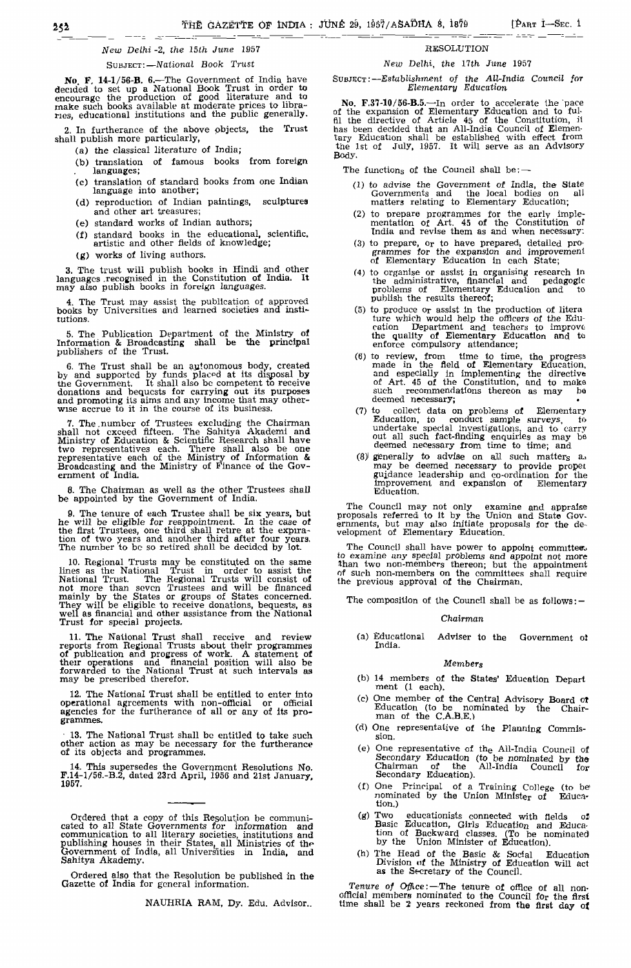# New; *Delhi* -2, the 15th June 1957

#### SUBJECT:—*National Book Trust*

No. F. 14-1/56-B. 6.—The Government of India have<br>decided to set up a National Book Trust in order to<br>encourage the production of good literature and to<br>make such books available at moderate prices to libra-<br>ries, educatio

2. In furtherance of the above pbjects, the Trust shall publish more particularly,

- (a) the classical literature of India;
- (b) translation of famous books from foreign languages;
- (c) translation of standard books from one Indian language into another;
- (d) reproduction of Indian paintings, sculptures and other art treasures;
- (e) standard works of Indian authors;
- (f) standard books in the educational, scientific, artistic and other fields of knowledge;
- (g) works of living authors.

3. The trust will publish books in Hindi and other languages .recognised in the Constitution of India. It may also publish books in foreign languages.

4. The Trust may assist the publication of approved books by Universities and learned societies and institutions.

5. The Publication Department of the Ministry of Information & Broadcasting shall be the principal publishers of the Trust.

6. The Trust shall be an autonomous body, created<br>by and supported by funds placed at its disposal by<br>the Government. It shall also be competent to receive<br>donations and bequests for carrying out its purposes<br>and promoting

7. The number of Trustees excluding the Chairman shall not exceed fifteen. The Sahitya Akademi and Ministry of Education & Scientific Research shall have two representatives each. There shall also be one representative each of the Ministry of Information & Broadcasting and the Ministry of Finance of the Government of India,

8. The Chairman as well as the other Trustees shall be appointed by the Government of India.

9. The tenure of each Trustee shall be six years, but he will be eligible for reappointment. In the case of the first Trustees, one third shall retire at the expira-tion of two years and another third after four years. The number to be so retired shall be decided by lot.

10. Regional Trusts may be constituted on the same<br>lines as the National Trust in order to assist the<br>National Trust. The Regional Trusts will consist of<br>mot more than seven Trustees and will be financed<br>mainly by the Stat Trust for special projects.

11. The National Trust shall receive and review<br>reports from Regional Trusts about their programmes<br>of publication and progress of work. A statement of<br>their operations and financial position will also be<br>forwarded to the

12. The National Trust shall be entitled to enter into operational agreements with non-official or official agencies for the furtherance of all or any of its programmes,

• 13. The National Trust shall be entitled to take such other action as may be necessary for the furtherance of its objects and programmes.

14. This supersedes the Government Resolutions No. F.14-1/56.-B.2, dated 23rd April, 1956 and 21st January, 1957.

Ordered that a copy of this Resolution be communicated to all State Governments for information and communication to all literary societies, institutions and publishing houses in their States, all Ministries of the Governm Sahitya Akademy.

Ordered also that the Resolution be published in the Gazette of India for general information.

NAUHRIA RAM, Dy. Edu. Advisor..

# RESOLUTION

## *New Delhi, the 17th June 1957*

SUBJECT:—Establishment *of the All-India Council for Elementary Education*

No, F.37-10/56-B.5.—In order to accelerate the pace of the expansion of Elementary Education and to fulfil the directive of Article 45 of the Constitution, il has been decided that an All-India Council of Elementary Education shall be established with effect from the 1st of July, 1957. It will serve as an Advisory Body.

The functions of the Council shall be: $-$ 

- (1) to advise the Government of India, the State Governments and the local bodies on all matters relating to Elementary Education;
- (2) to prepare programmes for the early implementation of Art. 45 of the Constitution of India and revise them as and when necessary:
- (3) to prepare, or to have prepared, detailed programmes for the expansion and improvement of Elementary Education in each State;
- (4) to organise or assist in organising research in the administrative, financial and pedagogic problems of Elementary Education and to<br>publish the results thereof;
- (5) to produce or assist In the production of litera ture which would help the officers of the Education Department and teachers to improve the quality of Elementary Education and to enforce compulsory attendance;
- (6) to review, from time to time, the progress<br>made in the field of Elementary Education,<br>and especially in implementing the directive<br>of Art. 45 of the Constitution, and to make<br>such recommendations thereon as may<br>deemed
- (7) to collect data on problems of Elementary Education, to conduct sample surveys, to undertake special investigations, and to carry out all such fact-finding enquiries as may be deemed necessary from time to time; and
- (8> generally to advise on aJi such matters a., may be deemed necessary to provide propex gujdance leadership and co-ordination for the Improvement and expansion of Elementary Education.

The Council may not only examine and appraise proposals referred to It by the Union and State Gov-ernments, but may also initiate proposals for the de-velopment of Elementary Education.

The Council shall have power to appoint committees to examine any special problems and appoint not more than two non-members thereon; but the appointment of such non-members on the committees shall require the previous approval of the Chairman.

The composition of the Council shall be as follows: —

#### *Chairman*

(a) Educational Adviser to the Government ol India.

#### *Members*

- (b) 14 members of the States' Education Depart ment (1 each).
- (c) One member of the Central Advisory Board ot Education (to be nominated by the Chair-Education (to be not<br>man of the C.A.B.E.)
- (d) One representative of the Planning Commission.
- (e) One representative of the All-India Council of Secondary Education (to be nominated by tho Chairman of the All-India Council for Secondary Education).
- (f) One Principal of a Training College (to be" nominated by the Union Minister of Education.)<br>(g) Two
- (g)  $\mathbf{T}$ wo educationists connected with fields  $\mathbf{o}$ Basic Education, Girls Education and Education of Backward classes. (To be nominated by the Union Minister of Education).
- (h) The Head of the Basic & Social Education Division of the Ministry of Education will act as the Secretary of the Council.

*Tenure of Office:*—The tenure of office of all nonofficial members nominated to the Council for the first time shall be 2 years reckoned from the first day of.